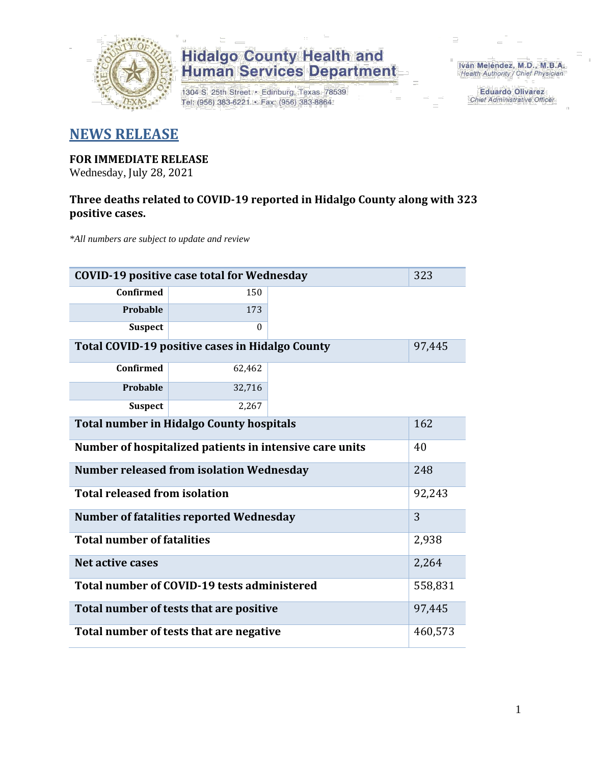

1304 S. 25th Street · Edinburg, Texas 78539 Tel: (956) 383-6221 · Fax: (956) 383-8864

Iván Meléndez, M.D., M.B.A. Health Authority / Chief Physician

> **Eduardo Olivarez** Chief Administrative Officer

#### **NEWS RELEASE**

#### **FOR IMMEDIATE RELEASE**

Wednesday, July 28, 2021

#### **Three deaths related to COVID-19 reported in Hidalgo County along with 323 positive cases.**

*\*All numbers are subject to update and review*

| <b>COVID-19 positive case total for Wednesday</b>             |          |  |  |  |  |  |
|---------------------------------------------------------------|----------|--|--|--|--|--|
| Confirmed                                                     | 150      |  |  |  |  |  |
| Probable                                                      | 173      |  |  |  |  |  |
| <b>Suspect</b>                                                | $\Omega$ |  |  |  |  |  |
| Total COVID-19 positive cases in Hidalgo County               | 97,445   |  |  |  |  |  |
| <b>Confirmed</b>                                              | 62,462   |  |  |  |  |  |
| Probable                                                      | 32,716   |  |  |  |  |  |
| <b>Suspect</b>                                                | 2,267    |  |  |  |  |  |
| <b>Total number in Hidalgo County hospitals</b>               |          |  |  |  |  |  |
| Number of hospitalized patients in intensive care units<br>40 |          |  |  |  |  |  |
| <b>Number released from isolation Wednesday</b><br>248        |          |  |  |  |  |  |
| <b>Total released from isolation</b>                          |          |  |  |  |  |  |
| <b>Number of fatalities reported Wednesday</b>                | 3        |  |  |  |  |  |
| <b>Total number of fatalities</b>                             | 2,938    |  |  |  |  |  |
| Net active cases                                              | 2,264    |  |  |  |  |  |
| Total number of COVID-19 tests administered                   | 558,831  |  |  |  |  |  |
| Total number of tests that are positive                       | 97,445   |  |  |  |  |  |
| Total number of tests that are negative                       |          |  |  |  |  |  |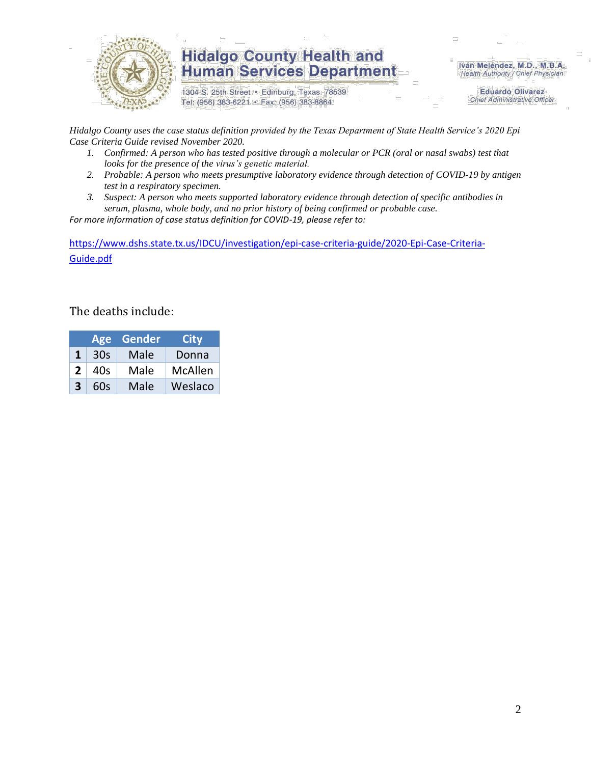

1304 S. 25th Street · Edinburg, Texas 78539 Tel: (956) 383-6221 · Fax: (956) 383-8864

Iván Meléndez, M.D., M.B.A. Health Authority / Chief Physician

> **Eduardo Olivarez Chief Administrative Officer**

*Hidalgo County uses the case status definition provided by the Texas Department of State Health Service's 2020 Epi Case Criteria Guide revised November 2020.*

- *1. Confirmed: A person who has tested positive through a molecular or PCR (oral or nasal swabs) test that looks for the presence of the virus's genetic material.*
- *2. Probable: A person who meets presumptive laboratory evidence through detection of COVID-19 by antigen test in a respiratory specimen.*
- *3. Suspect: A person who meets supported laboratory evidence through detection of specific antibodies in serum, plasma, whole body, and no prior history of being confirmed or probable case.*

*For more information of case status definition for COVID-19, please refer to:*

[https://www.dshs.state.tx.us/IDCU/investigation/epi-case-criteria-guide/2020-Epi-Case-Criteria-](https://www.dshs.state.tx.us/IDCU/investigation/epi-case-criteria-guide/2020-Epi-Case-Criteria-Guide.pdf)[Guide.pdf](https://www.dshs.state.tx.us/IDCU/investigation/epi-case-criteria-guide/2020-Epi-Case-Criteria-Guide.pdf)

#### The deaths include:

|   | <b>Age</b> | Gender | City    |
|---|------------|--------|---------|
| 1 | 30s        | Male   | Donna   |
| 2 | 40s        | Male   | McAllen |
| R | 60s        | Male   | Weslaco |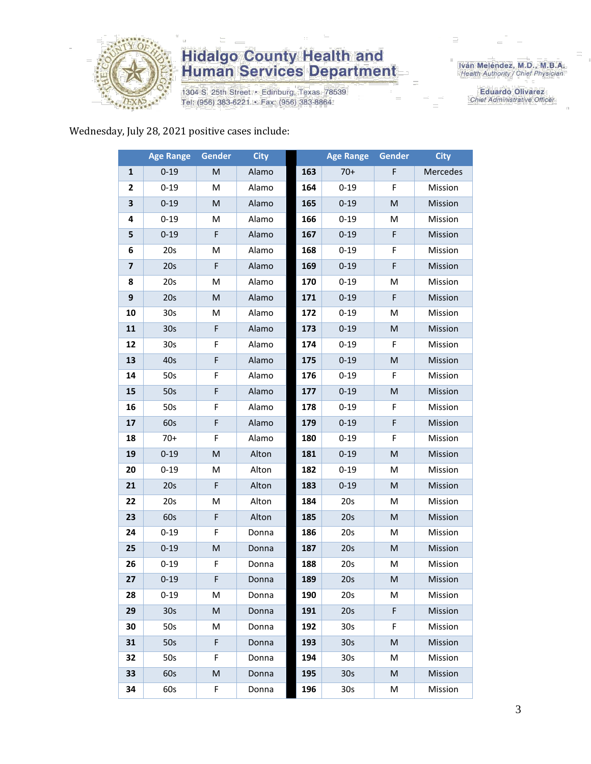

1304 S. 25th Street · Edinburg, Texas 78539 Tel: (956) 383-6221 · Fax: (956) 383-8864

Iván Meléndez, M.D., M.B.A.<br>Health Authority / Chief Physician

**Eduardo Olivarez** Chief Administrative Officer

Wednesday, July 28, 2021 positive cases include:

|                         | <b>Age Range</b> | Gender      | <b>City</b> |     | <b>Age Range</b> | Gender | <b>City</b> |
|-------------------------|------------------|-------------|-------------|-----|------------------|--------|-------------|
| $\mathbf{1}$            | $0 - 19$         | M           | Alamo       | 163 | $70+$            | F      | Mercedes    |
| $\overline{2}$          | $0 - 19$         | м           | Alamo       | 164 | $0 - 19$         | F      | Mission     |
| 3                       | $0 - 19$         | M           | Alamo       | 165 | $0 - 19$         | M      | Mission     |
| 4                       | $0 - 19$         | M           | Alamo       | 166 | $0 - 19$         | М      | Mission     |
| 5                       | $0 - 19$         | F           | Alamo       | 167 | $0 - 19$         | F      | Mission     |
| 6                       | 20s              | M           | Alamo       | 168 | $0 - 19$         | F      | Mission     |
| $\overline{\mathbf{z}}$ | 20s              | $\mathsf F$ | Alamo       | 169 | $0 - 19$         | F      | Mission     |
| 8                       | 20s              | M           | Alamo       | 170 | $0 - 19$         | M      | Mission     |
| 9                       | 20s              | M           | Alamo       | 171 | $0 - 19$         | F      | Mission     |
| 10                      | 30 <sub>s</sub>  | M           | Alamo       | 172 | $0 - 19$         | M      | Mission     |
| 11                      | 30 <sub>s</sub>  | F           | Alamo       | 173 | $0 - 19$         | M      | Mission     |
| 12                      | 30s              | F           | Alamo       | 174 | $0 - 19$         | F      | Mission     |
| 13                      | 40s              | F           | Alamo       | 175 | $0 - 19$         | M      | Mission     |
| 14                      | 50s              | F           | Alamo       | 176 | $0 - 19$         | F      | Mission     |
| 15                      | 50s              | F           | Alamo       | 177 | $0 - 19$         | M      | Mission     |
| 16                      | 50s              | F           | Alamo       | 178 | $0 - 19$         | F      | Mission     |
| 17                      | 60s              | F           | Alamo       | 179 | $0 - 19$         | F      | Mission     |
| 18                      | $70+$            | F           | Alamo       | 180 | $0 - 19$         | F      | Mission     |
| 19                      | $0 - 19$         | M           | Alton       | 181 | $0 - 19$         | M      | Mission     |
| 20                      | $0 - 19$         | M           | Alton       | 182 | $0 - 19$         | M      | Mission     |
| 21                      | 20s              | F           | Alton       | 183 | $0 - 19$         | M      | Mission     |
| 22                      | 20s              | M           | Alton       | 184 | 20s              | M      | Mission     |
| 23                      | 60s              | F           | Alton       | 185 | 20s              | M      | Mission     |
| 24                      | $0 - 19$         | F           | Donna       | 186 | 20s              | M      | Mission     |
| 25                      | $0 - 19$         | M           | Donna       | 187 | 20s              | M      | Mission     |
| 26                      | $0 - 19$         | F           | Donna       | 188 | 20s              | M      | Mission     |
| 27                      | $0 - 19$         | F           | Donna       | 189 | 20s              | M      | Mission     |
| 28                      | 0-19             | М           | Donna       | 190 | 20s              | M      | Mission     |
| 29                      | 30 <sub>s</sub>  | M           | Donna       | 191 | 20s              | F      | Mission     |
| 30                      | 50s              | М           | Donna       | 192 | 30 <sub>s</sub>  | F      | Mission     |
| 31                      | 50s              | F           | Donna       | 193 | 30 <sub>s</sub>  | M      | Mission     |
| 32                      | 50s              | F           | Donna       | 194 | 30 <sub>s</sub>  | M      | Mission     |
| 33                      | 60s              | M           | Donna       | 195 | 30 <sub>s</sub>  | M      | Mission     |
| 34                      | 60s              | F.          | Donna       | 196 | 30 <sub>s</sub>  | M      | Mission     |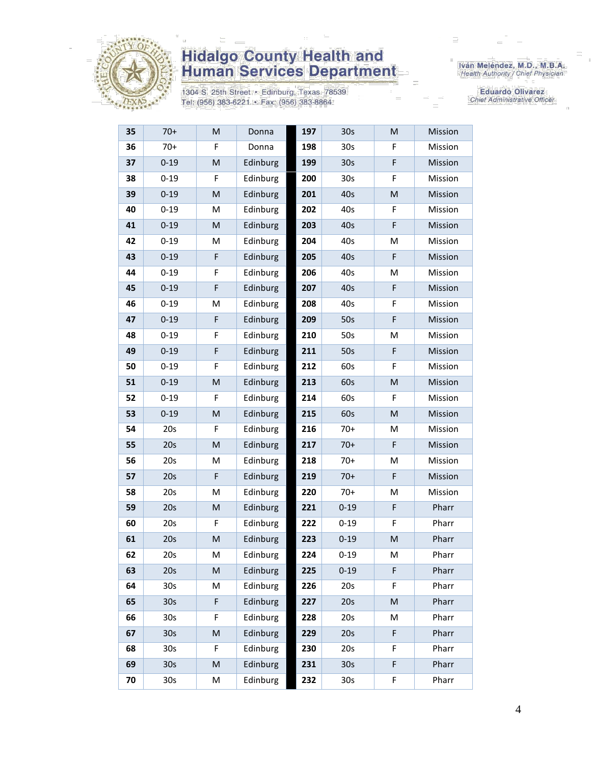

1304 S. 25th Street · Edinburg, Texas 78539 Tel: (956) 383-6221 · Fax: (956) 383-8864

Iván Meléndez, M.D., M.B.A.<br>Health Authority / Chief Physician

Eduardo Olivarez Chief Administrative Officer

| 35 | $70+$           | M         | Donna    | 197 | 30 <sub>s</sub> | M | Mission |
|----|-----------------|-----------|----------|-----|-----------------|---|---------|
| 36 | $70+$           | F         | Donna    | 198 | 30 <sub>s</sub> | F | Mission |
| 37 | $0 - 19$        | M         | Edinburg | 199 | 30 <sub>s</sub> | F | Mission |
| 38 | $0 - 19$        | F         | Edinburg | 200 | 30 <sub>s</sub> | F | Mission |
| 39 | $0 - 19$        | ${\sf M}$ | Edinburg | 201 | 40s             | M | Mission |
| 40 | $0 - 19$        | M         | Edinburg | 202 | 40s             | F | Mission |
| 41 | $0 - 19$        | M         | Edinburg | 203 | 40s             | F | Mission |
| 42 | $0 - 19$        | M         | Edinburg | 204 | 40s             | M | Mission |
| 43 | $0 - 19$        | F         | Edinburg | 205 | 40s             | F | Mission |
| 44 | $0 - 19$        | F         | Edinburg | 206 | 40s             | M | Mission |
| 45 | $0 - 19$        | F         | Edinburg | 207 | 40s             | F | Mission |
| 46 | $0 - 19$        | M         | Edinburg | 208 | 40s             | F | Mission |
| 47 | $0 - 19$        | F         | Edinburg | 209 | 50s             | F | Mission |
| 48 | $0 - 19$        | F         | Edinburg | 210 | 50s             | M | Mission |
| 49 | $0 - 19$        | F         | Edinburg | 211 | 50s             | F | Mission |
| 50 | $0 - 19$        | F         | Edinburg | 212 | 60s             | F | Mission |
| 51 | $0 - 19$        | ${\sf M}$ | Edinburg | 213 | 60s             | M | Mission |
| 52 | $0 - 19$        | F         | Edinburg | 214 | 60s             | F | Mission |
| 53 | $0 - 19$        | ${\sf M}$ | Edinburg | 215 | 60s             | M | Mission |
| 54 | 20s             | F         | Edinburg | 216 | $70+$           | Μ | Mission |
| 55 | 20s             | ${\sf M}$ | Edinburg | 217 | $70+$           | F | Mission |
| 56 | 20s             | M         | Edinburg | 218 | $70+$           | M | Mission |
| 57 | 20s             | F         | Edinburg | 219 | $70+$           | F | Mission |
| 58 | 20s             | M         | Edinburg | 220 | $70+$           | M | Mission |
| 59 | 20s             | M         | Edinburg | 221 | $0 - 19$        | F | Pharr   |
| 60 | 20s             | F         | Edinburg | 222 | $0 - 19$        | F | Pharr   |
| 61 | 20s             | M         | Edinburg | 223 | $0 - 19$        | M | Pharr   |
| 62 | 20s             | M         | Edinburg | 224 | $0 - 19$        | M | Pharr   |
| 63 | 20s             | ${\sf M}$ | Edinburg | 225 | $0 - 19$        | F | Pharr   |
| 64 | 30 <sub>s</sub> | M         | Edinburg | 226 | 20s             | F | Pharr   |
| 65 | 30 <sub>s</sub> | F         | Edinburg | 227 | 20s             | M | Pharr   |
| 66 | 30 <sub>s</sub> | F         | Edinburg | 228 | 20s             | М | Pharr   |
| 67 | 30 <sub>s</sub> | M         | Edinburg | 229 | 20s             | F | Pharr   |
| 68 | 30 <sub>s</sub> | F         | Edinburg | 230 | 20s             | F | Pharr   |
| 69 | 30 <sub>s</sub> | ${\sf M}$ | Edinburg | 231 | 30 <sub>s</sub> | F | Pharr   |
| 70 | 30s             | M         | Edinburg | 232 | 30s             | F | Pharr   |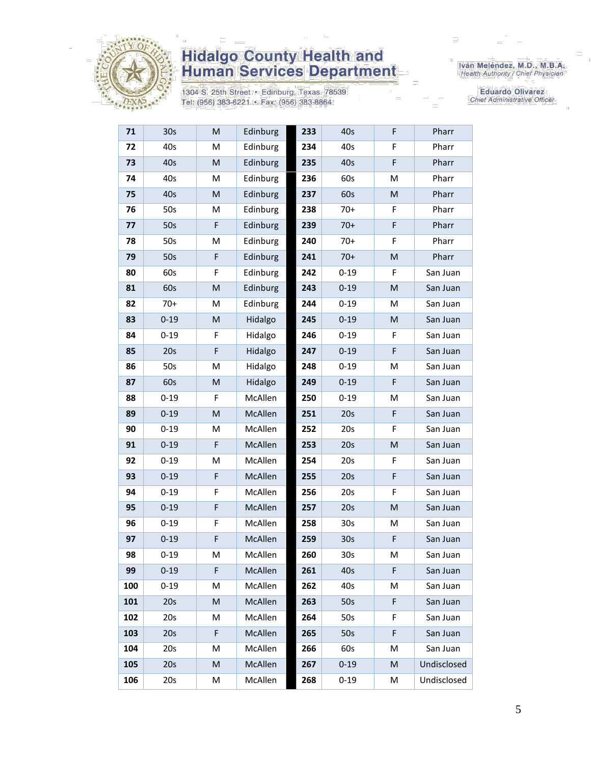

1304 S. 25th Street · Edinburg, Texas 78539 Tel: (956) 383-6221 · Fax: (956) 383-8864

Iván Meléndez, M.D., M.B.A.<br>Health Authority / Chief Physician

Eduardo Olivarez Chief Administrative Officer

| 71  | 30 <sub>s</sub> | M | Edinburg       | 233 | 40s             | F | Pharr       |
|-----|-----------------|---|----------------|-----|-----------------|---|-------------|
| 72  | 40s             | M | Edinburg       | 234 | 40s             | F | Pharr       |
| 73  | 40s             | M | Edinburg       | 235 | 40s             | F | Pharr       |
| 74  | 40s             | M | Edinburg       | 236 | 60s             | M | Pharr       |
| 75  | 40s             | M | Edinburg       | 237 | 60s             | M | Pharr       |
| 76  | 50s             | M | Edinburg       | 238 | $70+$           | F | Pharr       |
| 77  | 50s             | F | Edinburg       | 239 | $70+$           | F | Pharr       |
| 78  | 50s             | M | Edinburg       | 240 | $70+$           | F | Pharr       |
| 79  | 50s             | F | Edinburg       | 241 | $70+$           | M | Pharr       |
| 80  | 60s             | F | Edinburg       | 242 | $0 - 19$        | F | San Juan    |
| 81  | 60s             | M | Edinburg       | 243 | $0 - 19$        | M | San Juan    |
| 82  | $70+$           | M | Edinburg       | 244 | $0 - 19$        | M | San Juan    |
| 83  | $0 - 19$        | M | Hidalgo        | 245 | $0 - 19$        | M | San Juan    |
| 84  | $0 - 19$        | F | Hidalgo        | 246 | $0 - 19$        | F | San Juan    |
| 85  | 20s             | F | Hidalgo        | 247 | $0 - 19$        | F | San Juan    |
| 86  | 50s             | M | Hidalgo        | 248 | $0 - 19$        | M | San Juan    |
| 87  | 60s             | M | Hidalgo        | 249 | $0 - 19$        | F | San Juan    |
| 88  | $0 - 19$        | F | McAllen        | 250 | $0 - 19$        | M | San Juan    |
| 89  | $0 - 19$        | M | McAllen        | 251 | 20s             | F | San Juan    |
| 90  | $0 - 19$        | M | McAllen        | 252 | 20s             | F | San Juan    |
| 91  | $0 - 19$        | F | McAllen        | 253 | 20s             | M | San Juan    |
| 92  | $0 - 19$        | M | McAllen        | 254 | 20s             | F | San Juan    |
| 93  | $0 - 19$        | F | <b>McAllen</b> | 255 | 20s             | F | San Juan    |
| 94  | $0 - 19$        | F | McAllen        | 256 | 20s             | F | San Juan    |
| 95  | $0 - 19$        | F | McAllen        | 257 | 20s             | M | San Juan    |
| 96  | $0 - 19$        | F | McAllen        | 258 | 30 <sub>s</sub> | M | San Juan    |
| 97  | $0 - 19$        | F | McAllen        | 259 | 30 <sub>s</sub> | F | San Juan    |
| 98  | $0 - 19$        | M | McAllen        | 260 | 30 <sub>s</sub> | M | San Juan    |
| 99  | $0 - 19$        | F | McAllen        | 261 | 40s             | F | San Juan    |
| 100 | $0 - 19$        | м | McAllen        | 262 | 40s             | M | San Juan    |
| 101 | 20s             | M | McAllen        | 263 | 50s             | F | San Juan    |
| 102 | 20s             | M | McAllen        | 264 | 50s             | F | San Juan    |
| 103 | 20s             | F | McAllen        | 265 | 50s             | F | San Juan    |
| 104 | 20s             | M | McAllen        | 266 | 60s             | M | San Juan    |
| 105 | 20s             | M | McAllen        | 267 | $0 - 19$        | M | Undisclosed |
| 106 | 20s             | M | McAllen        | 268 | $0 - 19$        | Μ | Undisclosed |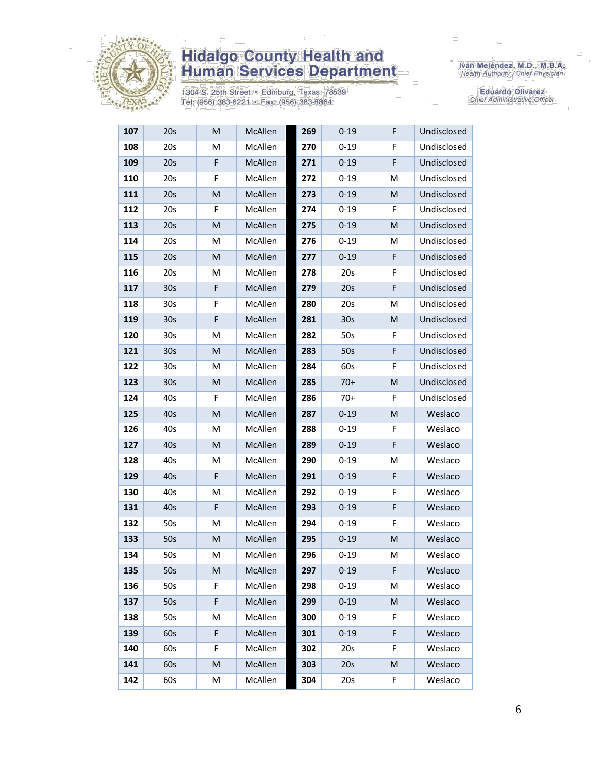

1304 S. 25th Street · Edinburg, Texas 78539 Tel: (956) 383-6221 · Fax: (956) 383-8864

Iván Meléndez, M.D., M.B.A.<br>Health Authority / Chief Physician

Eduardo Olivarez Chief Administrative Officer

| 107 | 20s             | M | McAllen        | 269 | $0 - 19$        | F | Undisclosed |
|-----|-----------------|---|----------------|-----|-----------------|---|-------------|
| 108 | 20s             | M | McAllen        | 270 | $0 - 19$        | F | Undisclosed |
| 109 | 20s             | F | McAllen        | 271 | $0 - 19$        | F | Undisclosed |
| 110 | 20s             | F | McAllen        | 272 | $0 - 19$        | M | Undisclosed |
| 111 | 20s             | M | <b>McAllen</b> | 273 | $0 - 19$        | M | Undisclosed |
| 112 | 20s             | F | McAllen        | 274 | $0 - 19$        | F | Undisclosed |
| 113 | 20s             | M | McAllen        | 275 | $0 - 19$        | M | Undisclosed |
| 114 | 20s             | M | McAllen        | 276 | $0 - 19$        | M | Undisclosed |
| 115 | 20s             | M | McAllen        | 277 | $0 - 19$        | F | Undisclosed |
| 116 | 20s             | M | McAllen        | 278 | 20s             | F | Undisclosed |
| 117 | 30 <sub>s</sub> | F | McAllen        | 279 | 20s             | F | Undisclosed |
| 118 | 30s             | F | McAllen        | 280 | 20s             | м | Undisclosed |
| 119 | 30 <sub>s</sub> | F | McAllen        | 281 | 30 <sub>s</sub> | M | Undisclosed |
| 120 | 30 <sub>s</sub> | M | McAllen        | 282 | 50s             | F | Undisclosed |
| 121 | 30 <sub>s</sub> | M | McAllen        | 283 | 50s             | F | Undisclosed |
| 122 | 30 <sub>s</sub> | M | McAllen        | 284 | 60s             | F | Undisclosed |
| 123 | 30 <sub>s</sub> | M | McAllen        | 285 | $70+$           | M | Undisclosed |
| 124 | 40s             | F | McAllen        | 286 | $70+$           | F | Undisclosed |
| 125 | 40s             | M | <b>McAllen</b> | 287 | $0 - 19$        | M | Weslaco     |
| 126 | 40s             | M | McAllen        | 288 | $0 - 19$        | F | Weslaco     |
| 127 | 40s             | M | McAllen        | 289 | $0 - 19$        | F | Weslaco     |
| 128 | 40s             | м | McAllen        | 290 | $0 - 19$        | M | Weslaco     |
| 129 | 40s             | F | McAllen        | 291 | $0 - 19$        | F | Weslaco     |
| 130 | 40s             | M | McAllen        | 292 | $0 - 19$        | F | Weslaco     |
| 131 | 40s             | F | McAllen        | 293 | $0 - 19$        | F | Weslaco     |
| 132 | 50s             | M | McAllen        | 294 | $0 - 19$        | F | Weslaco     |
| 133 | 50s             | M | McAllen        | 295 | $0 - 19$        | M | Weslaco     |
| 134 | 50s             | М | McAllen        | 296 | $0 - 19$        | Μ | Weslaco     |
| 135 | 50s             | M | McAllen        | 297 | $0 - 19$        | F | Weslaco     |
| 136 | 50s             | F | McAllen        | 298 | $0 - 19$        | M | Weslaco     |
| 137 | 50s             | F | McAllen        | 299 | $0 - 19$        | M | Weslaco     |
| 138 | 50s             | M | McAllen        | 300 | $0 - 19$        | F | Weslaco     |
| 139 | 60s             | F | McAllen        | 301 | $0 - 19$        | F | Weslaco     |
| 140 | 60s             | F | McAllen        | 302 | 20s             | F | Weslaco     |
| 141 | 60s             | M | McAllen        | 303 | 20s             | M | Weslaco     |
| 142 | 60s             | М | McAllen        | 304 | 20s             | F | Weslaco     |